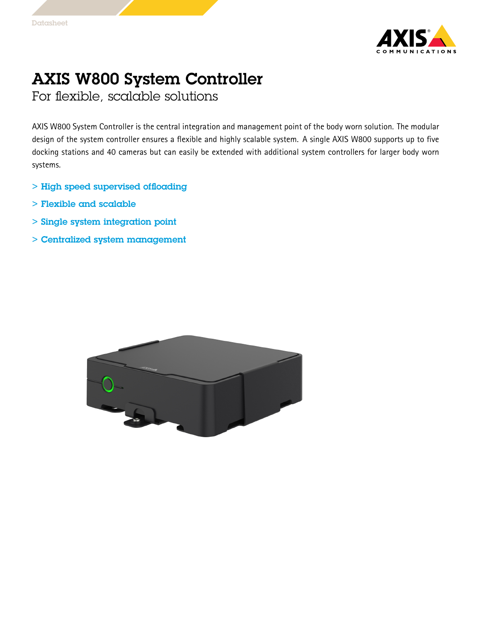

## AXIS W800 System Controller

For flexible, scalable solutions

AXIS W800 System Controller is the central integration and management point of the body worn solution. The modular design of the system controller ensures <sup>a</sup> flexible and highly scalable system. A single AXIS W800 supports up to five docking stations and 40 cameras but can easily be extended with additional system controllers for larger body worn systems.

- > High speed supervised offloading
- > Flexible and scalable
- > Single system integration point
- > Centralized system management